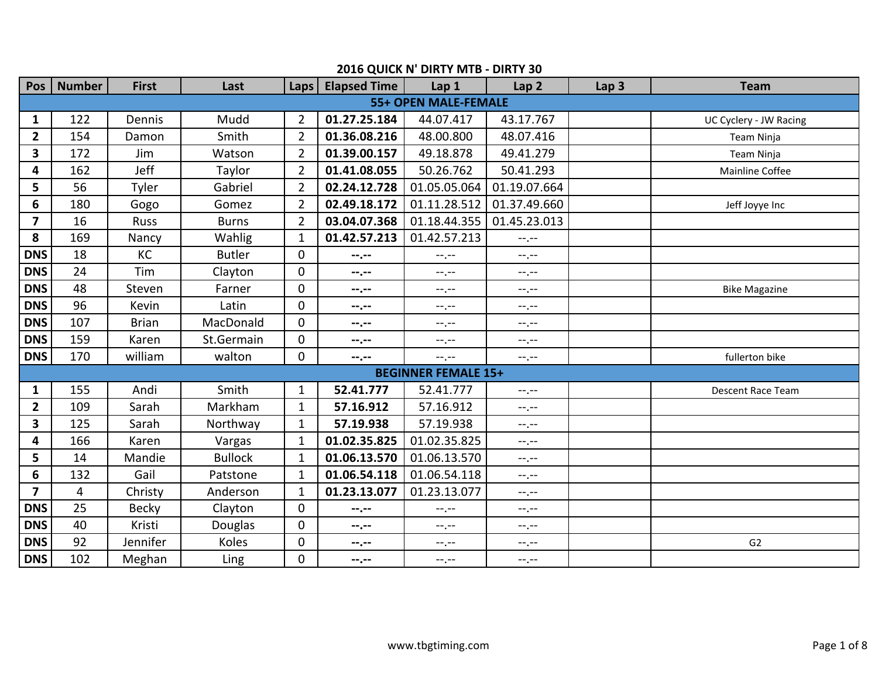| Pos                     | <b>Number</b> | <b>First</b> | Last           | Laps           | <b>Elapsed Time</b> | Lap 1                       | Lap <sub>2</sub>                                                                            | Lap <sub>3</sub> | <b>Team</b>              |
|-------------------------|---------------|--------------|----------------|----------------|---------------------|-----------------------------|---------------------------------------------------------------------------------------------|------------------|--------------------------|
|                         |               |              |                |                |                     | <b>55+ OPEN MALE-FEMALE</b> |                                                                                             |                  |                          |
| 1                       | 122           | Dennis       | Mudd           | $\overline{2}$ | 01.27.25.184        | 44.07.417                   | 43.17.767                                                                                   |                  | UC Cyclery - JW Racing   |
| $\overline{2}$          | 154           | Damon        | Smith          | $\overline{2}$ | 01.36.08.216        | 48.00.800                   | 48.07.416                                                                                   |                  | Team Ninja               |
| $\overline{\mathbf{3}}$ | 172           | Jim          | Watson         | $\overline{2}$ | 01.39.00.157        | 49.18.878                   | 49.41.279                                                                                   |                  | Team Ninja               |
| 4                       | 162           | Jeff         | Taylor         | $\overline{2}$ | 01.41.08.055        | 50.26.762                   | 50.41.293                                                                                   |                  | Mainline Coffee          |
| 5                       | 56            | Tyler        | Gabriel        | $\overline{2}$ | 02.24.12.728        | 01.05.05.064                | 01.19.07.664                                                                                |                  |                          |
| 6                       | 180           | Gogo         | Gomez          | $\overline{2}$ | 02.49.18.172        | 01.11.28.512                | 01.37.49.660                                                                                |                  | Jeff Joyye Inc           |
| $\overline{7}$          | 16            | <b>Russ</b>  | <b>Burns</b>   | $\overline{2}$ | 03.04.07.368        | 01.18.44.355                | 01.45.23.013                                                                                |                  |                          |
| 8                       | 169           | Nancy        | Wahlig         | $\mathbf{1}$   | 01.42.57.213        | 01.42.57.213                | $-1$ , $-1$                                                                                 |                  |                          |
| <b>DNS</b>              | 18            | KC           | <b>Butler</b>  | $\overline{0}$ | $-1, -1$            | $-1, -1$                    | $-1, -1$                                                                                    |                  |                          |
| <b>DNS</b>              | 24            | Tim          | Clayton        | $\overline{0}$ | --.--               | $-1, -1$                    | $-1, -1$                                                                                    |                  |                          |
| <b>DNS</b>              | 48            | Steven       | Farner         | $\overline{0}$ | --.--               | $-1$ , $-1$                 | $-1, -1$                                                                                    |                  | <b>Bike Magazine</b>     |
| <b>DNS</b>              | 96            | Kevin        | Latin          | $\overline{0}$ | --.--               | --.--                       | $-1, -1$                                                                                    |                  |                          |
| <b>DNS</b>              | 107           | <b>Brian</b> | MacDonald      | $\Omega$       | --.--               | --.--                       | $-1, -1$                                                                                    |                  |                          |
| <b>DNS</b>              | 159           | Karen        | St.Germain     | $\overline{0}$ | --.--               | $-1, -1$                    | $-1, -1$                                                                                    |                  |                          |
| <b>DNS</b>              | 170           | william      | walton         | $\Omega$       | --.--               | --.--                       | $-1. - -$                                                                                   |                  | fullerton bike           |
|                         |               |              |                |                |                     | <b>BEGINNER FEMALE 15+</b>  |                                                                                             |                  |                          |
| $\mathbf{1}$            | 155           | Andi         | Smith          | $\mathbf{1}$   | 52.41.777           | 52.41.777                   | $-1$ , $-1$                                                                                 |                  | <b>Descent Race Team</b> |
| $\overline{\mathbf{2}}$ | 109           | Sarah        | Markham        | $\mathbf{1}$   | 57.16.912           | 57.16.912                   | $-1, -1$                                                                                    |                  |                          |
| 3                       | 125           | Sarah        | Northway       | $\mathbf{1}$   | 57.19.938           | 57.19.938                   | $--, --$                                                                                    |                  |                          |
| 4                       | 166           | Karen        | Vargas         | $\mathbf{1}$   | 01.02.35.825        | 01.02.35.825                | $-1$ , $-1$                                                                                 |                  |                          |
| 5                       | 14            | Mandie       | <b>Bullock</b> | $\mathbf{1}$   | 01.06.13.570        | 01.06.13.570                | $-1, -1$                                                                                    |                  |                          |
| 6                       | 132           | Gail         | Patstone       | $\mathbf{1}$   | 01.06.54.118        | 01.06.54.118                | $--, --$                                                                                    |                  |                          |
| $\overline{\mathbf{z}}$ | 4             | Christy      | Anderson       | $\mathbf{1}$   | 01.23.13.077        | 01.23.13.077                | $-\mathord{\hspace{1pt}\text{--}\hspace{1pt}},-\mathord{\hspace{1pt}\text{--}\hspace{1pt}}$ |                  |                          |
| <b>DNS</b>              | 25            | <b>Becky</b> | Clayton        | $\overline{0}$ | --.--               | $-1, -1$                    | $-1, -1$                                                                                    |                  |                          |
| <b>DNS</b>              | 40            | Kristi       | Douglas        | 0              | --.--               | $-1, -1$                    | $-1, -1$                                                                                    |                  |                          |
| <b>DNS</b>              | 92            | Jennifer     | Koles          | 0              | --.--               | --,--                       | $-1, -1$                                                                                    |                  | G <sub>2</sub>           |
| <b>DNS</b>              | 102           | Meghan       | Ling           | 0              | --.--               | $-1, -1$                    | $-1, -1$                                                                                    |                  |                          |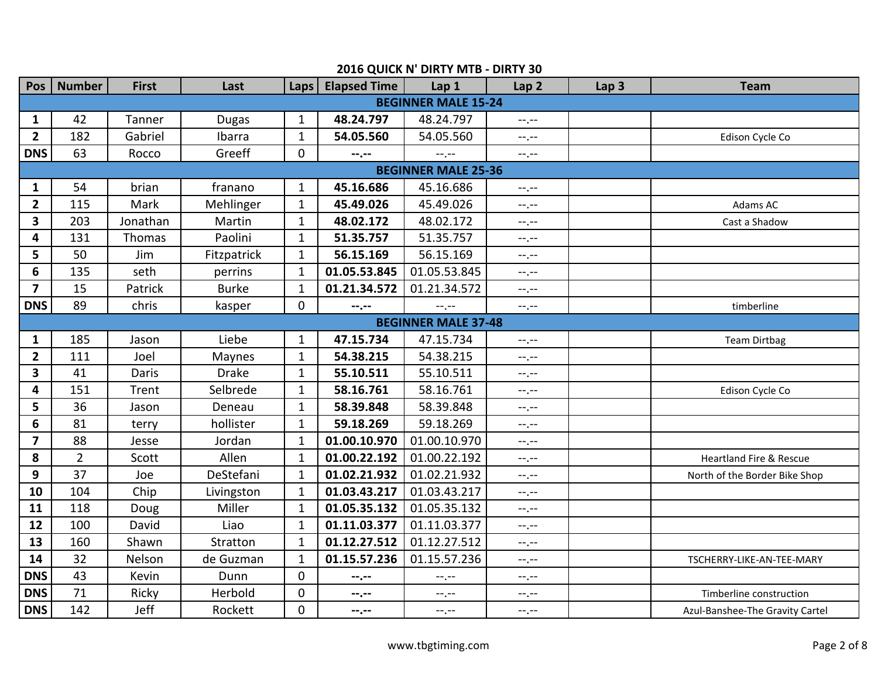| <b>Pos</b>              | <b>Number</b>   | <b>First</b> | Last         | Laps           | <b>Elapsed Time</b> | Lap 1                      | Lap <sub>2</sub>                                                                            | Lap <sub>3</sub> | <b>Team</b>                        |
|-------------------------|-----------------|--------------|--------------|----------------|---------------------|----------------------------|---------------------------------------------------------------------------------------------|------------------|------------------------------------|
|                         |                 |              |              |                |                     | <b>BEGINNER MALE 15-24</b> |                                                                                             |                  |                                    |
| $\mathbf{1}$            | 42              | Tanner       | <b>Dugas</b> | $\mathbf{1}$   | 48.24.797           | 48.24.797                  | $-1$                                                                                        |                  |                                    |
| $\overline{2}$          | 182             | Gabriel      | Ibarra       | $\mathbf{1}$   | 54.05.560           | 54.05.560                  | $-1, -1$                                                                                    |                  | Edison Cycle Co                    |
| <b>DNS</b>              | 63              | Rocco        | Greeff       | 0              | --.--               | --.--                      | $-1, -1$                                                                                    |                  |                                    |
|                         |                 |              |              |                |                     | <b>BEGINNER MALE 25-36</b> |                                                                                             |                  |                                    |
| $\mathbf{1}$            | 54              | brian        | franano      | $\mathbf{1}$   | 45.16.686           | 45.16.686                  | $-1$                                                                                        |                  |                                    |
| $\overline{2}$          | 115             | Mark         | Mehlinger    | $\mathbf{1}$   | 45.49.026           | 45.49.026                  | $--, --$                                                                                    |                  | Adams AC                           |
| 3                       | 203             | Jonathan     | Martin       | $\mathbf{1}$   | 48.02.172           | 48.02.172                  | $-1, -1$                                                                                    |                  | Cast a Shadow                      |
| 4                       | 131             | Thomas       | Paolini      | $\mathbf{1}$   | 51.35.757           | 51.35.757                  | $-1$ , $-1$                                                                                 |                  |                                    |
| 5                       | 50              | Jim          | Fitzpatrick  | $\mathbf{1}$   | 56.15.169           | 56.15.169                  | --.--                                                                                       |                  |                                    |
| 6                       | 135             | seth         | perrins      | $\mathbf{1}$   | 01.05.53.845        | 01.05.53.845               | $-1, -1$                                                                                    |                  |                                    |
| $\overline{\mathbf{z}}$ | 15              | Patrick      | <b>Burke</b> | $\mathbf{1}$   | 01.21.34.572        | 01.21.34.572               | $-1$ , $-1$                                                                                 |                  |                                    |
| <b>DNS</b>              | 89              | chris        | kasper       | $\overline{0}$ | --.--               | $-1, -1$                   | --.--                                                                                       |                  | timberline                         |
|                         |                 |              |              |                |                     | <b>BEGINNER MALE 37-48</b> |                                                                                             |                  |                                    |
| 1                       | 185             | Jason        | Liebe        | $\mathbf{1}$   | 47.15.734           | 47.15.734                  | $-\mathord{\hspace{1pt}\text{--}\hspace{1pt}},-\mathord{\hspace{1pt}\text{--}\hspace{1pt}}$ |                  | <b>Team Dirtbag</b>                |
| $\overline{2}$          | 111             | Joel         | Maynes       | $\mathbf{1}$   | 54.38.215           | 54.38.215                  | $-1$ , $-$                                                                                  |                  |                                    |
| 3                       | 41              | Daris        | <b>Drake</b> | $\mathbf{1}$   | 55.10.511           | 55.10.511                  | $-1, -1$                                                                                    |                  |                                    |
| 4                       | 151             | Trent        | Selbrede     | $\mathbf{1}$   | 58.16.761           | 58.16.761                  | $-1$ , $-1$                                                                                 |                  | Edison Cycle Co                    |
| 5                       | 36              | Jason        | Deneau       | $\mathbf{1}$   | 58.39.848           | 58.39.848                  | $-1, -1$                                                                                    |                  |                                    |
| 6                       | 81              | terry        | hollister    | $\mathbf{1}$   | 59.18.269           | 59.18.269                  | $-1, -1$                                                                                    |                  |                                    |
| $\overline{7}$          | 88              | Jesse        | Jordan       | $\mathbf{1}$   | 01.00.10.970        | 01.00.10.970               | $-1$ , $-1$                                                                                 |                  |                                    |
| 8                       | $\overline{2}$  | Scott        | Allen        | $\mathbf{1}$   | 01.00.22.192        | 01.00.22.192               | $-1, -1$                                                                                    |                  | <b>Heartland Fire &amp; Rescue</b> |
| 9                       | 37              | Joe          | DeStefani    | $\mathbf{1}$   | 01.02.21.932        | 01.02.21.932               | $-1$                                                                                        |                  | North of the Border Bike Shop      |
| 10                      | 104             | Chip         | Livingston   | $\mathbf{1}$   | 01.03.43.217        | 01.03.43.217               | $-1$ , $-1$                                                                                 |                  |                                    |
| 11                      | 118             | Doug         | Miller       | $\mathbf{1}$   | 01.05.35.132        | 01.05.35.132               | $-1, -1$                                                                                    |                  |                                    |
| 12                      | 100             | David        | Liao         | $\mathbf{1}$   | 01.11.03.377        | 01.11.03.377               | $-1$                                                                                        |                  |                                    |
| 13                      | 160             | Shawn        | Stratton     | $\mathbf{1}$   | 01.12.27.512        | 01.12.27.512               | $-1$ , $-1$                                                                                 |                  |                                    |
| 14                      | 32              | Nelson       | de Guzman    | $\mathbf{1}$   | 01.15.57.236        | 01.15.57.236               | --.--                                                                                       |                  | TSCHERRY-LIKE-AN-TEE-MARY          |
| <b>DNS</b>              | 43              | Kevin        | Dunn         | $\overline{0}$ | $-1, -1$            | $-1$                       | $-1, -1$                                                                                    |                  |                                    |
| <b>DNS</b>              | $\overline{71}$ | Ricky        | Herbold      | 0              | --,--               | --.--                      | $-1, -1$                                                                                    |                  | Timberline construction            |
| <b>DNS</b>              | 142             | Jeff         | Rockett      | $\overline{0}$ | --.--               | --.--                      | $-1, -1$                                                                                    |                  | Azul-Banshee-The Gravity Cartel    |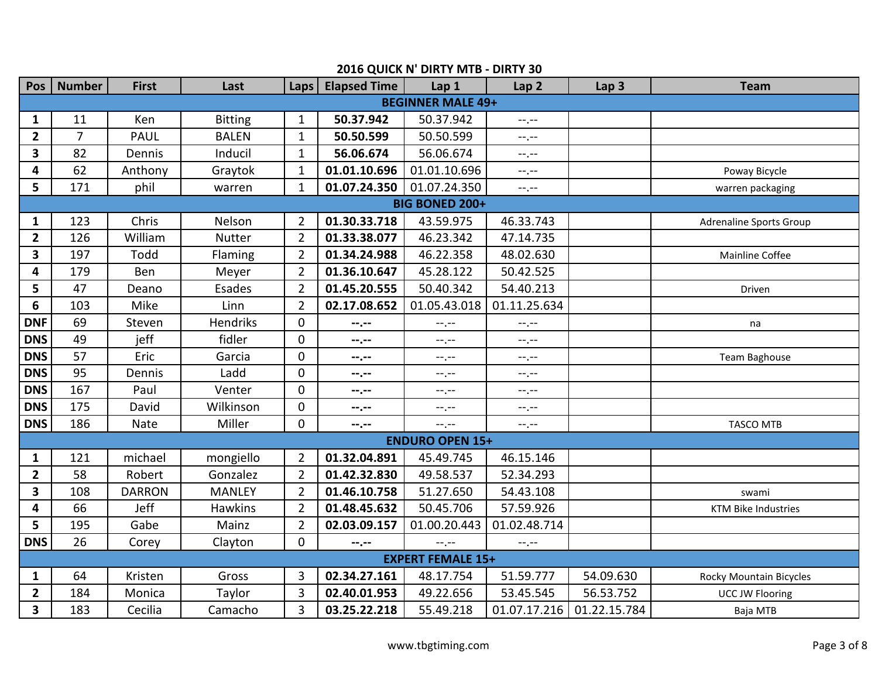| Pos                     | <b>Number</b>  | <b>First</b>  | Last           | Laps           | <b>Elapsed Time</b> | Lap 1                    | Lap <sub>2</sub>              | Lap <sub>3</sub> | <b>Team</b>                    |  |
|-------------------------|----------------|---------------|----------------|----------------|---------------------|--------------------------|-------------------------------|------------------|--------------------------------|--|
|                         |                |               |                |                |                     | <b>BEGINNER MALE 49+</b> |                               |                  |                                |  |
| $\mathbf{1}$            | 11             | Ken           | <b>Bitting</b> | $\mathbf{1}$   | 50.37.942           | 50.37.942                | $-\gamma$ , $-\gamma$         |                  |                                |  |
| $\mathbf{2}$            | $\overline{7}$ | <b>PAUL</b>   | <b>BALEN</b>   | $\mathbf{1}$   | 50.50.599           | 50.50.599                | $-1, -1$                      |                  |                                |  |
| $\overline{\mathbf{3}}$ | 82             | Dennis        | Inducil        | $\mathbf{1}$   | 56.06.674           | 56.06.674                | $-1, -1$                      |                  |                                |  |
| $\overline{\mathbf{4}}$ | 62             | Anthony       | Graytok        | $\mathbf{1}$   | 01.01.10.696        | 01.01.10.696             | $-1, -1$                      |                  | Poway Bicycle                  |  |
| 5                       | 171            | phil          | warren         | $\mathbf{1}$   | 01.07.24.350        | 01.07.24.350             | $\sim$ , $\sim$               |                  | warren packaging               |  |
| <b>BIG BONED 200+</b>   |                |               |                |                |                     |                          |                               |                  |                                |  |
| 1                       | 123            | Chris         | Nelson         | $\overline{2}$ | 01.30.33.718        | 43.59.975                | 46.33.743                     |                  | <b>Adrenaline Sports Group</b> |  |
| $\overline{2}$          | 126            | William       | <b>Nutter</b>  | $\overline{2}$ | 01.33.38.077        | 46.23.342                | 47.14.735                     |                  |                                |  |
| $\overline{\mathbf{3}}$ | 197            | Todd          | Flaming        | $\overline{2}$ | 01.34.24.988        | 46.22.358                | 48.02.630                     |                  | Mainline Coffee                |  |
| 4                       | 179            | Ben           | Meyer          | $\overline{2}$ | 01.36.10.647        | 45.28.122                | 50.42.525                     |                  |                                |  |
| 5                       | 47             | Deano         | Esades         | $\overline{2}$ | 01.45.20.555        | 50.40.342                | 54.40.213                     |                  | Driven                         |  |
| 6                       | 103            | Mike          | Linn           | $\overline{2}$ | 02.17.08.652        | 01.05.43.018             | 01.11.25.634                  |                  |                                |  |
| <b>DNF</b>              | 69             | Steven        | Hendriks       | $\pmb{0}$      | --,--               | --.--                    | $-1$                          |                  | na                             |  |
| <b>DNS</b>              | 49             | jeff          | fidler         | $\mathbf 0$    | --.--               | $--, --$                 | $-1, -1$                      |                  |                                |  |
| <b>DNS</b>              | 57             | Eric          | Garcia         | $\mathbf 0$    | --,--               | $-1, -1$                 | $-1, -1$                      |                  | Team Baghouse                  |  |
| <b>DNS</b>              | 95             | Dennis        | Ladd           | $\overline{0}$ | --.--               | --.--                    | $--, --$                      |                  |                                |  |
| <b>DNS</b>              | 167            | Paul          | Venter         | 0              | $-1, -1$            | $-1, -1$                 | $-1$ , $-1$                   |                  |                                |  |
| <b>DNS</b>              | 175            | David         | Wilkinson      | $\overline{0}$ | --.--               | --.--                    | $-1, -1$                      |                  |                                |  |
| <b>DNS</b>              | 186            | Nate          | Miller         | $\overline{0}$ | --.--               | $\rightarrow$            | $-1, -1$                      |                  | <b>TASCO MTB</b>               |  |
|                         |                |               |                |                |                     | <b>ENDURO OPEN 15+</b>   |                               |                  |                                |  |
| $\mathbf{1}$            | 121            | michael       | mongiello      | $\overline{2}$ | 01.32.04.891        | 45.49.745                | 46.15.146                     |                  |                                |  |
| $\overline{2}$          | 58             | Robert        | Gonzalez       | $\overline{2}$ | 01.42.32.830        | 49.58.537                | 52.34.293                     |                  |                                |  |
| $\overline{\mathbf{3}}$ | 108            | <b>DARRON</b> | <b>MANLEY</b>  | $\overline{2}$ | 01.46.10.758        | 51.27.650                | 54.43.108                     |                  | swami                          |  |
| 4                       | 66             | Jeff          | <b>Hawkins</b> | $\overline{2}$ | 01.48.45.632        | 50.45.706                | 57.59.926                     |                  | <b>KTM Bike Industries</b>     |  |
| 5                       | 195            | Gabe          | Mainz          | $\overline{2}$ | 02.03.09.157        | 01.00.20.443             | 01.02.48.714                  |                  |                                |  |
| <b>DNS</b>              | 26             | Corey         | Clayton        | $\mathbf 0$    | $-1, -1$            | $--, --$                 | $-\mathbb{L}$ , $-\mathbb{L}$ |                  |                                |  |
|                         |                |               |                |                |                     | <b>EXPERT FEMALE 15+</b> |                               |                  |                                |  |
| $\mathbf{1}$            | 64             | Kristen       | Gross          | 3              | 02.34.27.161        | 48.17.754                | 51.59.777                     | 54.09.630        | Rocky Mountain Bicycles        |  |
| $\mathbf{2}$            | 184            | Monica        | Taylor         | 3              | 02.40.01.953        | 49.22.656                | 53.45.545                     | 56.53.752        | <b>UCC JW Flooring</b>         |  |
| $\overline{\mathbf{3}}$ | 183            | Cecilia       | Camacho        | 3              | 03.25.22.218        | 55.49.218                | 01.07.17.216                  | 01.22.15.784     | Baja MTB                       |  |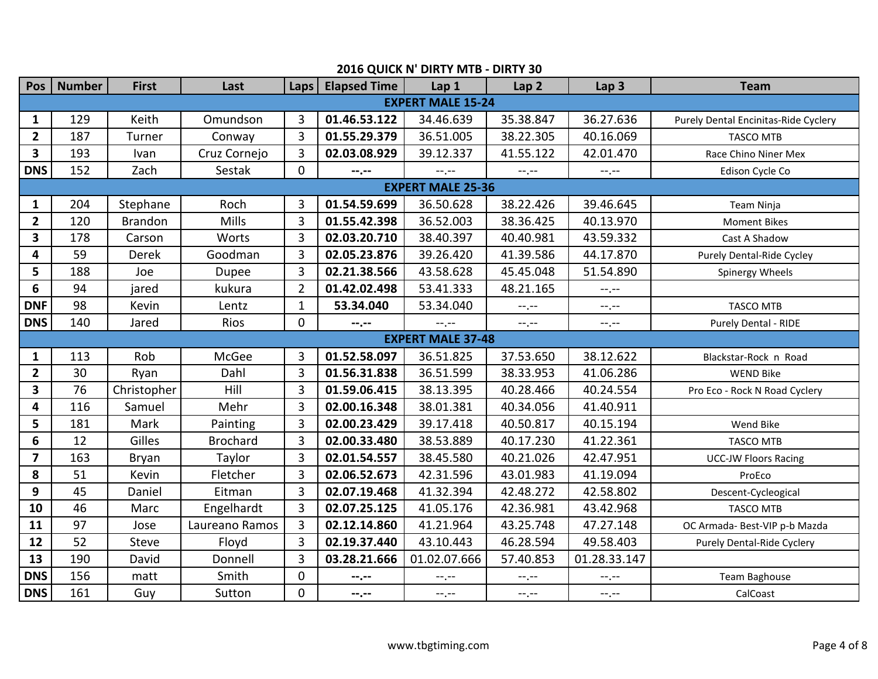| <b>Pos</b>              | <b>Number</b> | <b>First</b>   | Last            | Laps           | <b>Elapsed Time</b> | Lap 1                    | Lap <sub>2</sub> | Lap <sub>3</sub>      | <b>Team</b>                          |
|-------------------------|---------------|----------------|-----------------|----------------|---------------------|--------------------------|------------------|-----------------------|--------------------------------------|
|                         |               |                |                 |                |                     | <b>EXPERT MALE 15-24</b> |                  |                       |                                      |
| 1                       | 129           | Keith          | Omundson        | 3              | 01.46.53.122        | 34.46.639                | 35.38.847        | 36.27.636             | Purely Dental Encinitas-Ride Cyclery |
| $\overline{2}$          | 187           | Turner         | Conway          | $\overline{3}$ | 01.55.29.379        | 36.51.005                | 38.22.305        | 40.16.069             | <b>TASCO MTB</b>                     |
| 3                       | 193           | Ivan           | Cruz Cornejo    | 3              | 02.03.08.929        | 39.12.337                | 41.55.122        | 42.01.470             | Race Chino Niner Mex                 |
| <b>DNS</b>              | 152           | Zach           | Sestak          | $\overline{0}$ | --.--               | $-1$ , $-1$              | $-1, -1$         | $-1, -1$              | Edison Cycle Co                      |
|                         |               |                |                 |                |                     | <b>EXPERT MALE 25-36</b> |                  |                       |                                      |
| 1                       | 204           | Stephane       | Roch            | 3              | 01.54.59.699        | 36.50.628                | 38.22.426        | 39.46.645             | Team Ninja                           |
| $\overline{2}$          | 120           | <b>Brandon</b> | Mills           | $\overline{3}$ | 01.55.42.398        | 36.52.003                | 38.36.425        | 40.13.970             | <b>Moment Bikes</b>                  |
| 3                       | 178           | Carson         | Worts           | 3              | 02.03.20.710        | 38.40.397                | 40.40.981        | 43.59.332             | Cast A Shadow                        |
| 4                       | 59            | <b>Derek</b>   | Goodman         | 3              | 02.05.23.876        | 39.26.420                | 41.39.586        | 44.17.870             | Purely Dental-Ride Cycley            |
| 5                       | 188           | Joe            | Dupee           | 3              | 02.21.38.566        | 43.58.628                | 45.45.048        | 51.54.890             | Spinergy Wheels                      |
| 6                       | 94            | jared          | kukura          | $\overline{2}$ | 01.42.02.498        | 53.41.333                | 48.21.165        | $-,-$                 |                                      |
| <b>DNF</b>              | 98            | Kevin          | Lentz           | $\mathbf{1}$   | 53.34.040           | 53.34.040                | --.--            | $-1, -1$              | <b>TASCO MTB</b>                     |
| <b>DNS</b>              | 140           | Jared          | Rios            | $\overline{0}$ | --.--               | --.--                    | $-1$             | $-1, -1$              | Purely Dental - RIDE                 |
|                         |               |                |                 |                |                     | <b>EXPERT MALE 37-48</b> |                  |                       |                                      |
| 1                       | 113           | Rob            | McGee           | 3              | 01.52.58.097        | 36.51.825                | 37.53.650        | 38.12.622             | Blackstar-Rock n Road                |
| $\overline{\mathbf{2}}$ | 30            | Ryan           | Dahl            | $\overline{3}$ | 01.56.31.838        | 36.51.599                | 38.33.953        | 41.06.286             | <b>WEND Bike</b>                     |
| $\overline{\mathbf{3}}$ | 76            | Christopher    | Hill            | $\overline{3}$ | 01.59.06.415        | 38.13.395                | 40.28.466        | 40.24.554             | Pro Eco - Rock N Road Cyclery        |
| 4                       | 116           | Samuel         | Mehr            | $\overline{3}$ | 02.00.16.348        | 38.01.381                | 40.34.056        | 41.40.911             |                                      |
| 5                       | 181           | Mark           | Painting        | 3              | 02.00.23.429        | 39.17.418                | 40.50.817        | 40.15.194             | Wend Bike                            |
| 6                       | 12            | Gilles         | <b>Brochard</b> | 3              | 02.00.33.480        | 38.53.889                | 40.17.230        | 41.22.361             | <b>TASCO MTB</b>                     |
| $\overline{7}$          | 163           | Bryan          | Taylor          | 3              | 02.01.54.557        | 38.45.580                | 40.21.026        | 42.47.951             | <b>UCC-JW Floors Racing</b>          |
| 8                       | 51            | Kevin          | Fletcher        | 3              | 02.06.52.673        | 42.31.596                | 43.01.983        | 41.19.094             | ProEco                               |
| 9                       | 45            | Daniel         | Eitman          | $\overline{3}$ | 02.07.19.468        | 41.32.394                | 42.48.272        | 42.58.802             | Descent-Cycleogical                  |
| 10                      | 46            | Marc           | Engelhardt      | 3              | 02.07.25.125        | 41.05.176                | 42.36.981        | 43.42.968             | <b>TASCO MTB</b>                     |
| 11                      | 97            | Jose           | Laureano Ramos  | $\overline{3}$ | 02.12.14.860        | 41.21.964                | 43.25.748        | 47.27.148             | OC Armada- Best-VIP p-b Mazda        |
| 12                      | 52            | <b>Steve</b>   | Floyd           | 3              | 02.19.37.440        | 43.10.443                | 46.28.594        | 49.58.403             | Purely Dental-Ride Cyclery           |
| 13                      | 190           | David          | Donnell         | 3              | 03.28.21.666        | 01.02.07.666             | 57.40.853        | 01.28.33.147          |                                      |
| <b>DNS</b>              | 156           | matt           | Smith           | $\overline{0}$ | $-1, -1$            | $-1, -1$                 | $-1, -1$         | $-1$ , $-1$           | Team Baghouse                        |
| <b>DNS</b>              | 161           | Guy            | Sutton          | $\overline{0}$ | --.--               | $-1, -1$                 | $-1$ , $-1$      | $-\gamma$ , $-\gamma$ | CalCoast                             |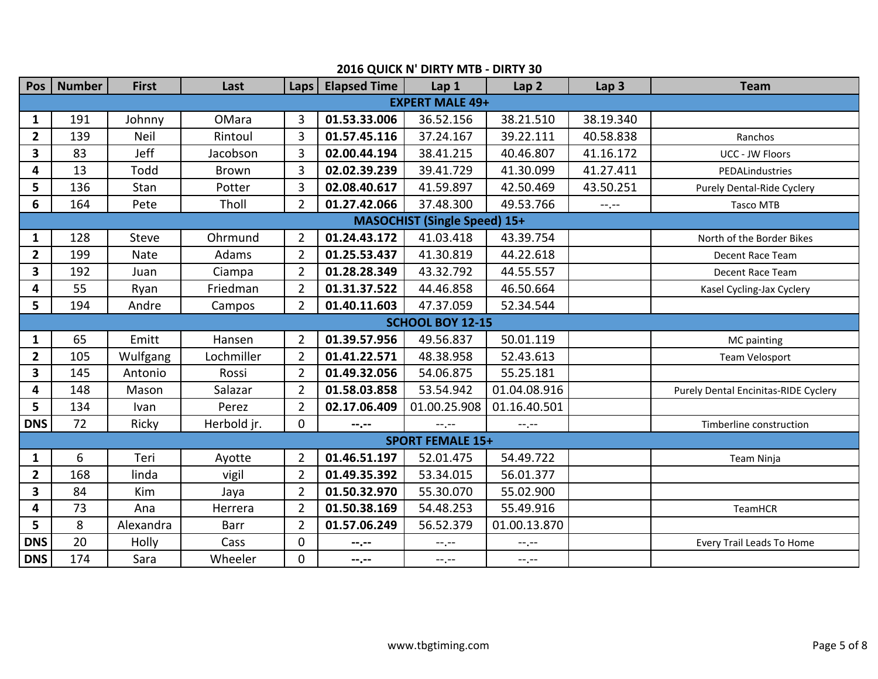| Pos                     | <b>Number</b>                       | <b>First</b> | Last         | Laps           | <b>Elapsed Time</b> | Lap1                    | Lap <sub>2</sub> | Lap <sub>3</sub> | <b>Team</b>                                 |  |  |  |
|-------------------------|-------------------------------------|--------------|--------------|----------------|---------------------|-------------------------|------------------|------------------|---------------------------------------------|--|--|--|
|                         |                                     |              |              |                |                     | <b>EXPERT MALE 49+</b>  |                  |                  |                                             |  |  |  |
| $\mathbf{1}$            | 191                                 | Johnny       | OMara        | 3              | 01.53.33.006        | 36.52.156               | 38.21.510        | 38.19.340        |                                             |  |  |  |
| $\overline{2}$          | 139                                 | Neil         | Rintoul      | 3              | 01.57.45.116        | 37.24.167               | 39.22.111        | 40.58.838        | Ranchos                                     |  |  |  |
| 3                       | 83                                  | Jeff         | Jacobson     | $\overline{3}$ | 02.00.44.194        | 38.41.215               | 40.46.807        | 41.16.172        | UCC - JW Floors                             |  |  |  |
| 4                       | 13                                  | Todd         | <b>Brown</b> | 3              | 02.02.39.239        | 39.41.729               | 41.30.099        | 41.27.411        | PEDALindustries                             |  |  |  |
| 5                       | 136                                 | Stan         | Potter       | 3              | 02.08.40.617        | 41.59.897               | 42.50.469        | 43.50.251        | Purely Dental-Ride Cyclery                  |  |  |  |
| 6                       | 164                                 | Pete         | Tholl        | $\overline{2}$ | 01.27.42.066        | 37.48.300               | 49.53.766        | $-1, -1$         | <b>Tasco MTB</b>                            |  |  |  |
|                         | <b>MASOCHIST (Single Speed) 15+</b> |              |              |                |                     |                         |                  |                  |                                             |  |  |  |
| $\mathbf{1}$            | 128                                 | <b>Steve</b> | Ohrmund      | $\overline{2}$ | 01.24.43.172        | 41.03.418               | 43.39.754        |                  | North of the Border Bikes                   |  |  |  |
| $\overline{\mathbf{2}}$ | 199                                 | <b>Nate</b>  | Adams        | $\overline{2}$ | 01.25.53.437        | 41.30.819               | 44.22.618        |                  | Decent Race Team                            |  |  |  |
| $\overline{\mathbf{3}}$ | 192                                 | Juan         | Ciampa       | $\overline{2}$ | 01.28.28.349        | 43.32.792               | 44.55.557        |                  | Decent Race Team                            |  |  |  |
| 4                       | 55                                  | Ryan         | Friedman     | $\overline{2}$ | 01.31.37.522        | 44.46.858               | 46.50.664        |                  | Kasel Cycling-Jax Cyclery                   |  |  |  |
| 5                       | 194                                 | Andre        | Campos       | $\overline{2}$ | 01.40.11.603        | 47.37.059               | 52.34.544        |                  |                                             |  |  |  |
|                         |                                     |              |              |                |                     | <b>SCHOOL BOY 12-15</b> |                  |                  |                                             |  |  |  |
| 1                       | 65                                  | Emitt        | Hansen       | $\overline{2}$ | 01.39.57.956        | 49.56.837               | 50.01.119        |                  | MC painting                                 |  |  |  |
| $\overline{2}$          | 105                                 | Wulfgang     | Lochmiller   | $\overline{2}$ | 01.41.22.571        | 48.38.958               | 52.43.613        |                  | Team Velosport                              |  |  |  |
| 3                       | 145                                 | Antonio      | Rossi        | $\overline{2}$ | 01.49.32.056        | 54.06.875               | 55.25.181        |                  |                                             |  |  |  |
| 4                       | 148                                 | Mason        | Salazar      | $\overline{2}$ | 01.58.03.858        | 53.54.942               | 01.04.08.916     |                  | <b>Purely Dental Encinitas-RIDE Cyclery</b> |  |  |  |
| 5                       | 134                                 | Ivan         | Perez        | $\overline{2}$ | 02.17.06.409        | 01.00.25.908            | 01.16.40.501     |                  |                                             |  |  |  |
| <b>DNS</b>              | 72                                  | Ricky        | Herbold jr.  | $\overline{0}$ | --.--               | $-1, -1$                | $-1$ , $-1$      |                  | Timberline construction                     |  |  |  |
|                         |                                     |              |              |                |                     | <b>SPORT FEMALE 15+</b> |                  |                  |                                             |  |  |  |
| $\mathbf{1}$            | 6                                   | Teri         | Ayotte       | $\overline{2}$ | 01.46.51.197        | 52.01.475               | 54.49.722        |                  | Team Ninja                                  |  |  |  |
| $\overline{\mathbf{2}}$ | 168                                 | linda        | vigil        | $\overline{2}$ | 01.49.35.392        | 53.34.015               | 56.01.377        |                  |                                             |  |  |  |
| 3                       | 84                                  | Kim          | Jaya         | $\overline{2}$ | 01.50.32.970        | 55.30.070               | 55.02.900        |                  |                                             |  |  |  |
| 4                       | 73                                  | Ana          | Herrera      | $\overline{2}$ | 01.50.38.169        | 54.48.253               | 55.49.916        |                  | TeamHCR                                     |  |  |  |
| 5                       | 8                                   | Alexandra    | Barr         | $\overline{2}$ | 01.57.06.249        | 56.52.379               | 01.00.13.870     |                  |                                             |  |  |  |
| <b>DNS</b>              | 20                                  | Holly        | Cass         | $\overline{0}$ | --.--               | --.--                   | $-1, -1$         |                  | Every Trail Leads To Home                   |  |  |  |
| <b>DNS</b>              | 174                                 | Sara         | Wheeler      | $\mathbf{0}$   | --.--               | $-1, -1$                | $-1, -1$         |                  |                                             |  |  |  |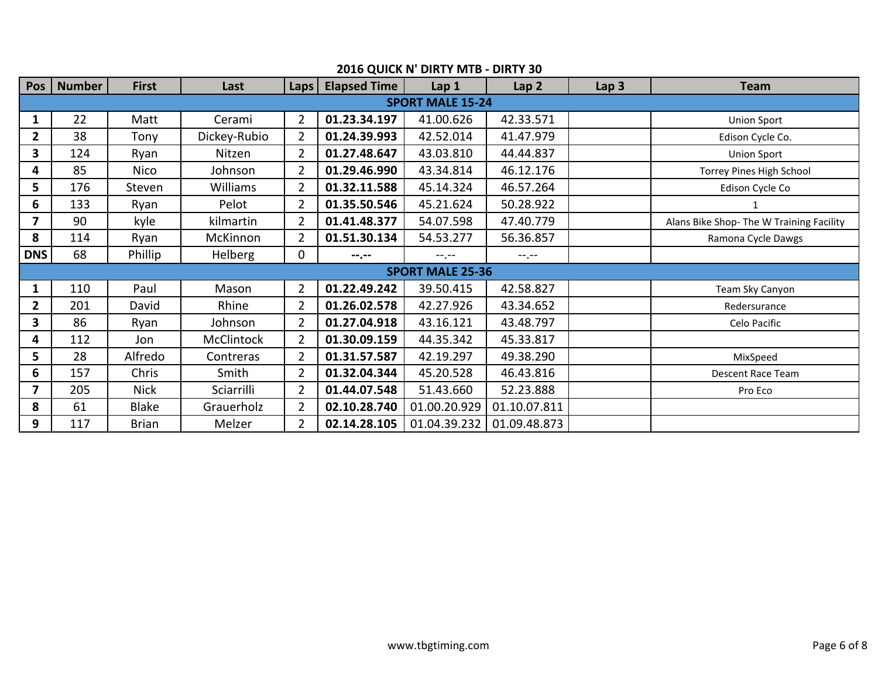| Pos                     | <b>Number</b> | <b>First</b> | Last              | Laps           | <b>Elapsed Time</b> | Lap 1                   | Lap <sub>2</sub> | Lap <sub>3</sub> | <b>Team</b>                              |
|-------------------------|---------------|--------------|-------------------|----------------|---------------------|-------------------------|------------------|------------------|------------------------------------------|
|                         |               |              |                   |                |                     | <b>SPORT MALE 15-24</b> |                  |                  |                                          |
| 1                       | 22            | Matt         | Cerami            | $\overline{2}$ | 01.23.34.197        | 41.00.626               | 42.33.571        |                  | <b>Union Sport</b>                       |
| 2                       | 38            | Tony         | Dickey-Rubio      | $\overline{2}$ | 01.24.39.993        | 42.52.014               | 41.47.979        |                  | Edison Cycle Co.                         |
| 3                       | 124           | Ryan         | Nitzen            | $\overline{2}$ | 01.27.48.647        | 43.03.810               | 44.44.837        |                  | <b>Union Sport</b>                       |
| 4                       | 85            | <b>Nico</b>  | Johnson           | $\overline{2}$ | 01.29.46.990        | 43.34.814               | 46.12.176        |                  | Torrey Pines High School                 |
| 5                       | 176           | Steven       | <b>Williams</b>   | $\overline{2}$ | 01.32.11.588        | 45.14.324               | 46.57.264        |                  | Edison Cycle Co                          |
| 6                       | 133           | Ryan         | Pelot             | $\overline{2}$ | 01.35.50.546        | 45.21.624               | 50.28.922        |                  | 1                                        |
| $\overline{\mathbf{z}}$ | 90            | kyle         | kilmartin         | $\overline{2}$ | 01.41.48.377        | 54.07.598               | 47.40.779        |                  | Alans Bike Shop- The W Training Facility |
| 8                       | 114           | Ryan         | McKinnon          | $\overline{2}$ | 01.51.30.134        | 54.53.277               | 56.36.857        |                  | Ramona Cycle Dawgs                       |
| <b>DNS</b>              | 68            | Phillip      | <b>Helberg</b>    | 0              | $-1, -1$            | $-1$ , $-1$             | $-1$ , $-1$      |                  |                                          |
|                         |               |              |                   |                |                     | <b>SPORT MALE 25-36</b> |                  |                  |                                          |
| 1                       | 110           | Paul         | Mason             | $\overline{2}$ | 01.22.49.242        | 39.50.415               | 42.58.827        |                  | Team Sky Canyon                          |
| $\overline{2}$          | 201           | David        | Rhine             | $\overline{2}$ | 01.26.02.578        | 42.27.926               | 43.34.652        |                  | Redersurance                             |
| 3                       | 86            | Ryan         | Johnson           | $\overline{2}$ | 01.27.04.918        | 43.16.121               | 43.48.797        |                  | Celo Pacific                             |
| 4                       | 112           | Jon          | <b>McClintock</b> | $\overline{2}$ | 01.30.09.159        | 44.35.342               | 45.33.817        |                  |                                          |
| 5                       | 28            | Alfredo      | Contreras         | $\overline{2}$ | 01.31.57.587        | 42.19.297               | 49.38.290        |                  | MixSpeed                                 |
| 6                       | 157           | Chris        | Smith             | $\overline{2}$ | 01.32.04.344        | 45.20.528               | 46.43.816        |                  | <b>Descent Race Team</b>                 |
| $\overline{\mathbf{z}}$ | 205           | <b>Nick</b>  | Sciarrilli        | $\overline{2}$ | 01.44.07.548        | 51.43.660               | 52.23.888        |                  | Pro Eco                                  |
| 8                       | 61            | Blake        | Grauerholz        | $\overline{2}$ | 02.10.28.740        | 01.00.20.929            | 01.10.07.811     |                  |                                          |
| 9                       | 117           | <b>Brian</b> | Melzer            | $\overline{2}$ | 02.14.28.105        | 01.04.39.232            | 01.09.48.873     |                  |                                          |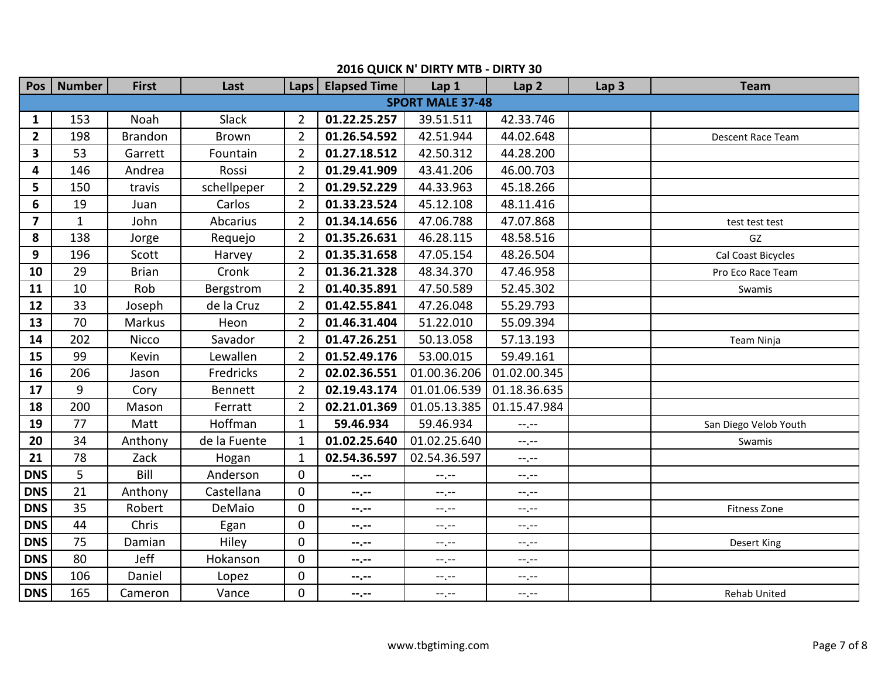| Pos                     | <b>Number</b> | <b>First</b>   | Last           | <b>Laps</b>    | <b>Elapsed Time</b> | Lap 1                   | Lap <sub>2</sub> | Lap <sub>3</sub> | <b>Team</b>           |
|-------------------------|---------------|----------------|----------------|----------------|---------------------|-------------------------|------------------|------------------|-----------------------|
|                         |               |                |                |                |                     | <b>SPORT MALE 37-48</b> |                  |                  |                       |
| 1                       | 153           | Noah           | Slack          | $\overline{2}$ | 01.22.25.257        | 39.51.511               | 42.33.746        |                  |                       |
| $\overline{2}$          | 198           | <b>Brandon</b> | Brown          | $\overline{2}$ | 01.26.54.592        | 42.51.944               | 44.02.648        |                  | Descent Race Team     |
| 3                       | 53            | Garrett        | Fountain       | $\overline{2}$ | 01.27.18.512        | 42.50.312               | 44.28.200        |                  |                       |
| 4                       | 146           | Andrea         | Rossi          | $\overline{2}$ | 01.29.41.909        | 43.41.206               | 46.00.703        |                  |                       |
| 5                       | 150           | travis         | schellpeper    | $\overline{2}$ | 01.29.52.229        | 44.33.963               | 45.18.266        |                  |                       |
| 6                       | 19            | Juan           | Carlos         | $\overline{2}$ | 01.33.23.524        | 45.12.108               | 48.11.416        |                  |                       |
| $\overline{\mathbf{z}}$ | $\mathbf{1}$  | John           | Abcarius       | $2^{\circ}$    | 01.34.14.656        | 47.06.788               | 47.07.868        |                  | test test test        |
| 8                       | 138           | Jorge          | Requejo        | $\overline{2}$ | 01.35.26.631        | 46.28.115               | 48.58.516        |                  | GZ                    |
| 9                       | 196           | Scott          | Harvey         | $\overline{2}$ | 01.35.31.658        | 47.05.154               | 48.26.504        |                  | Cal Coast Bicycles    |
| 10                      | 29            | <b>Brian</b>   | Cronk          | $\overline{2}$ | 01.36.21.328        | 48.34.370               | 47.46.958        |                  | Pro Eco Race Team     |
| 11                      | 10            | Rob            | Bergstrom      | $\overline{2}$ | 01.40.35.891        | 47.50.589               | 52.45.302        |                  | Swamis                |
| 12                      | 33            | Joseph         | de la Cruz     | $2^{\circ}$    | 01.42.55.841        | 47.26.048               | 55.29.793        |                  |                       |
| 13                      | 70            | Markus         | Heon           | $\overline{2}$ | 01.46.31.404        | 51.22.010               | 55.09.394        |                  |                       |
| 14                      | 202           | Nicco          | Savador        | $\overline{2}$ | 01.47.26.251        | 50.13.058               | 57.13.193        |                  | Team Ninja            |
| 15                      | 99            | Kevin          | Lewallen       | $\overline{2}$ | 01.52.49.176        | 53.00.015               | 59.49.161        |                  |                       |
| 16                      | 206           | Jason          | Fredricks      | $\overline{2}$ | 02.02.36.551        | 01.00.36.206            | 01.02.00.345     |                  |                       |
| 17                      | 9             | Cory           | <b>Bennett</b> | $\overline{2}$ | 02.19.43.174        | 01.01.06.539            | 01.18.36.635     |                  |                       |
| 18                      | 200           | Mason          | Ferratt        | $\overline{2}$ | 02.21.01.369        | 01.05.13.385            | 01.15.47.984     |                  |                       |
| 19                      | 77            | Matt           | Hoffman        | $\mathbf{1}$   | 59.46.934           | 59.46.934               | $-1$ , $-1$      |                  | San Diego Velob Youth |
| 20                      | 34            | Anthony        | de la Fuente   | $\mathbf{1}$   | 01.02.25.640        | 01.02.25.640            | $\sim$ $\sim$    |                  | Swamis                |
| 21                      | 78            | Zack           | Hogan          | $\mathbf{1}$   | 02.54.36.597        | 02.54.36.597            | $-1, -1$         |                  |                       |
| <b>DNS</b>              | 5             | Bill           | Anderson       | $\overline{0}$ | --.--               | $-1, -1$                | $-1, -1$         |                  |                       |
| <b>DNS</b>              | 21            | Anthony        | Castellana     | $\overline{0}$ | --.--               | $-1, -1$                | --.--            |                  |                       |
| <b>DNS</b>              | 35            | Robert         | DeMaio         | $\overline{0}$ | --.--               | --.--                   | --.--            |                  | <b>Fitness Zone</b>   |
| <b>DNS</b>              | 44            | Chris          | Egan           | $\overline{0}$ | --.--               | $-1$                    | $-1$ , $-1$      |                  |                       |
| <b>DNS</b>              | 75            | Damian         | Hiley          | $\overline{0}$ | --.--               | $-1, -1$                | --.--            |                  | Desert King           |
| <b>DNS</b>              | 80            | Jeff           | Hokanson       | $\overline{0}$ | --.--               | $-1, -1$                | $-1$ , $-1$      |                  |                       |
| <b>DNS</b>              | 106           | Daniel         | Lopez          | $\overline{0}$ | --.--               | --.--                   | --.--            |                  |                       |
| <b>DNS</b>              | 165           | Cameron        | Vance          | $\overline{0}$ | --.--               | $-1, -1$                | $-1$ , $-1$      |                  | Rehab United          |